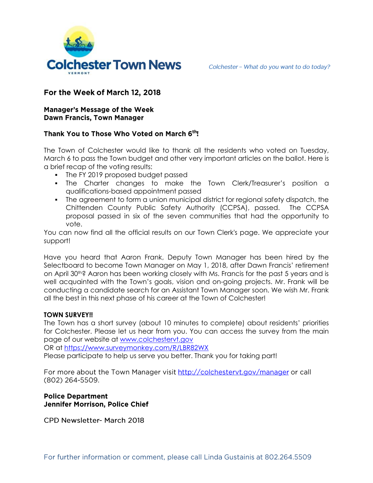

Colchester - What do you want to do today?

# For the Week of March 12, 2018

### **Manager's Message of the Week Dawn Francis, Town Manager**

# Thank You to Those Who Voted on March 6th!

The Town of Colchester would like to thank all the residents who voted on Tuesday, March 6 to pass the Town budget and other very important articles on the ballot. Here is a brief recap of the voting results:

- The FY 2019 proposed budget passed
- The Charter changes to make the Town Clerk/Treasurer's position a qualifications-based appointment passed
- The agreement to form a union municipal district for regional safety dispatch, the Chittenden County Public Safety Authority (CCPSA), passed. The CCPSA proposal passed in six of the seven communities that had the opportunity to vote.

You can now find all the official results on our Town Clerk's page. We appreciate your support!

Have you heard that Aaron Frank, Deputy Town Manager has been hired by the Selectboard to become Town Manager on May 1, 2018, after Dawn Francis' retirement on April 30<sup>th</sup>? Aaron has been working closely with Ms. Francis for the past 5 years and is well acquainted with the Town's goals, vision and on-going projects. Mr. Frank will be conducting a candidate search for an Assistant Town Manager soon. We wish Mr. Frank all the best in this next phase of his career at the Town of Colchester!

#### **TOWN SURVEY!!**

The Town has a short survey (about 10 minutes to complete) about residents' priorities for Colchester. Please let us hear from you. You can access the survey from the main page of our website at [www.colchestervt.gov](http://www.colchestervt.gov/)

OR at<https://www.surveymonkey.com/R/LBR82WX>

Please participate to help us serve you better. Thank you for taking part!

For more about the Town Manager visit http://colchestervt.gov/manager or call (802) 264-5509.

## **Police Department** Jennifer Morrison, Police Chief

CPD Newsletter- March 2018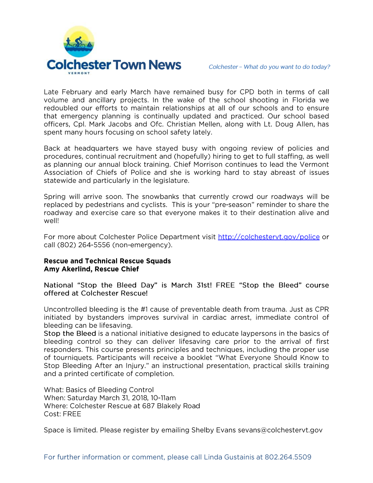

Late February and early March have remained busy for CPD both in terms of call volume and ancillary projects. In the wake of the school shooting in Florida we redoubled our efforts to maintain relationships at all of our schools and to ensure that emergency planning is continually updated and practiced. Our school based officers, Cpl. Mark Jacobs and Ofc. Christian Mellen, along with Lt. Doug Allen, has spent many hours focusing on school safety lately.

Back at headquarters we have stayed busy with ongoing review of policies and procedures, continual recruitment and (hopefully) hiring to get to full staffing, as well as planning our annual block training. Chief Morrison continues to lead the Vermont Association of Chiefs of Police and she is working hard to stay abreast of issues statewide and particularly in the legislature.

Spring will arrive soon. The snowbanks that currently crowd our roadways will be replaced by pedestrians and cyclists. This is your "pre-season" reminder to share the roadway and exercise care so that everyone makes it to their destination alive and well!

For more about Colchester Police Department visit http://colchestervt.gov/police or call (802) 264-5556 (non-emergency).

#### **Rescue and Technical Rescue Squads** Amy Akerlind, Rescue Chief

National "Stop the Bleed Day" is March 31st! FREE "Stop the Bleed" course offered at Colchester Rescue!

Uncontrolled bleeding is the #1 cause of preventable death from trauma. Just as CPR initiated by bystanders improves survival in cardiac arrest, immediate control of bleeding can be lifesaving.

Stop the Bleed is a national initiative designed to educate laypersons in the basics of bleeding control so they can deliver lifesaving care prior to the arrival of first responders. This course presents principles and techniques, including the proper use of tourniquets. Participants will receive a booklet "What Everyone Should Know to Stop Bleeding After an Injury." an instructional presentation, practical skills training and a printed certificate of completion.

What: Basics of Bleeding Control When: Saturday March 31, 2018, 10-11am Where: Colchester Rescue at 687 Blakely Road Cost: FRFF

Space is limited. Please register by emailing Shelby Evans sevans@colchestervt.gov